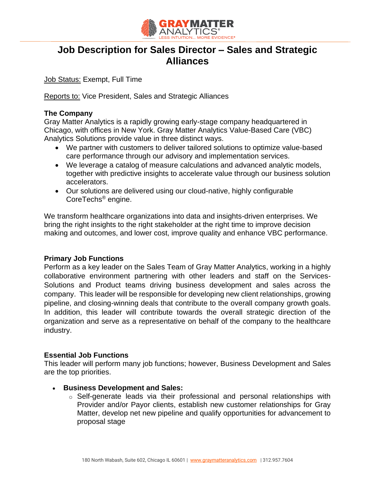

# **Job Description for Sales Director – Sales and Strategic Alliances**

Job Status: Exempt, Full Time

Reports to: Vice President, Sales and Strategic Alliances

### **The Company**

Gray Matter Analytics is a rapidly growing early-stage company headquartered in Chicago, with offices in New York. Gray Matter Analytics Value-Based Care (VBC) Analytics Solutions provide value in three distinct ways.

- We partner with customers to deliver tailored solutions to optimize value-based care performance through our advisory and implementation services.
- We leverage a catalog of measure calculations and advanced analytic models, together with predictive insights to accelerate value through our business solution accelerators.
- Our solutions are delivered using our cloud-native, highly configurable CoreTechs® engine.

We transform healthcare organizations into data and insights-driven enterprises. We bring the right insights to the right stakeholder at the right time to improve decision making and outcomes, and lower cost, improve quality and enhance VBC performance.

#### **Primary Job Functions**

Perform as a key leader on the Sales Team of Gray Matter Analytics, working in a highly collaborative environment partnering with other leaders and staff on the Services-Solutions and Product teams driving business development and sales across the company. This leader will be responsible for developing new client relationships, growing pipeline, and closing-winning deals that contribute to the overall company growth goals. In addition, this leader will contribute towards the overall strategic direction of the organization and serve as a representative on behalf of the company to the healthcare industry.

#### **Essential Job Functions**

This leader will perform many job functions; however, Business Development and Sales are the top priorities.

- **Business Development and Sales:**
	- o Self-generate leads via their professional and personal relationships with Provider and/or Payor clients, establish new customer relationships for Gray Matter, develop net new pipeline and qualify opportunities for advancement to proposal stage